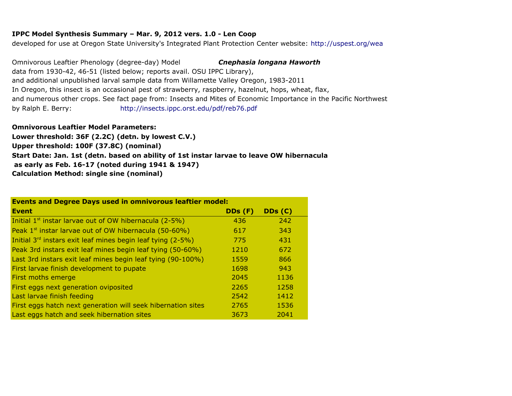## **IPPC Model Synthesis Summary – Mar. 9, 2012 vers. 1.0 - Len Coop**

developed for use at Oregon State University's Integrated Plant Protection Center website:<http://uspest.org/wea>

data from 1930-42, 46-51 (listed below; reports avail. OSU IPPC Library), and additional unpublished larval sample data from Willamette Valley Oregon, 1983-2011 In Oregon, this insect is an occasional pest of strawberry, raspberry, hazelnut, hops, wheat, flax, and numerous other crops. See fact page from: Insects and Mites of Economic Importance in the Pacific Northwest by Ralph E. Berry: Omnivorous Leaftier Phenology (degree-day) Model *Cnephasia longana Haworth* <http://insects.ippc.orst.edu/pdf/reb76.pdf>

## **Omnivorous Leaftier Model Parameters:**

**Upper threshold: 100F (37.8C) (nominal) as early as Feb. 16-17 (noted during 1941 & 1947) Calculation Method: single sine (nominal) Lower threshold: 36F (2.2C) (detn. by lowest C.V.) Start Date: Jan. 1st (detn. based on ability of 1st instar larvae to leave OW hibernacula**

| <b>Events and Degree Days used in omnivorous leaftier model:</b>        |         |         |  |  |  |
|-------------------------------------------------------------------------|---------|---------|--|--|--|
| <b>Event</b>                                                            | DDs (F) | DDs (C) |  |  |  |
| Initial $1^{st}$ instar larvae out of OW hibernacula (2-5%)             | 436     | 242     |  |  |  |
| Peak 1 <sup>st</sup> instar larvae out of OW hibernacula (50-60%)       | 617     | 343     |  |  |  |
| Initial 3 <sup>rd</sup> instars exit leaf mines begin leaf tying (2-5%) | 775     | 431     |  |  |  |
| Peak 3rd instars exit leaf mines begin leaf tying (50-60%)              | 1210    | 672     |  |  |  |
| Last 3rd instars exit leaf mines begin leaf tying (90-100%)             | 1559    | 866     |  |  |  |
| First larvae finish development to pupate                               | 1698    | 943     |  |  |  |
| First moths emerge                                                      | 2045    | 1136    |  |  |  |
| First eggs next generation oviposited                                   | 2265    | 1258    |  |  |  |
| Last larvae finish feeding                                              | 2542    | 1412    |  |  |  |
| First eggs hatch next generation will seek hibernation sites            | 2765    | 1536    |  |  |  |
| Last eggs hatch and seek hibernation sites                              | 3673    | 2041    |  |  |  |